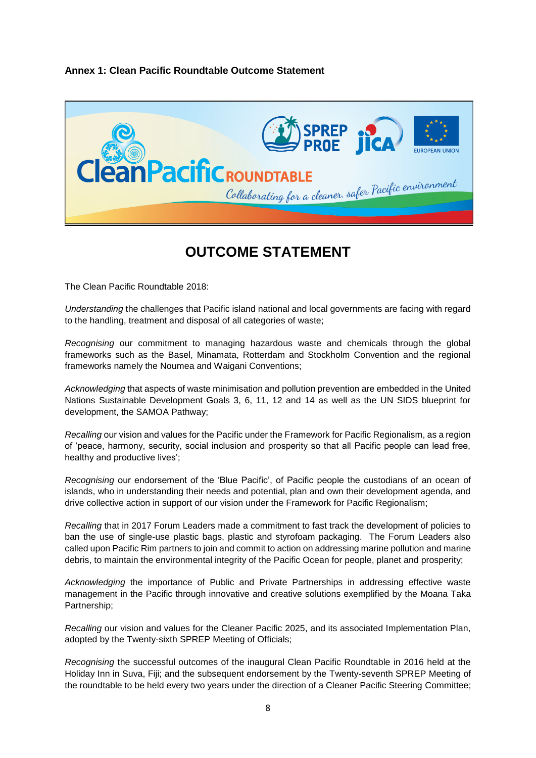## **Annex 1: Clean Pacific Roundtable Outcome Statement**



## **OUTCOME STATEMENT**

The Clean Pacific Roundtable 2018:

*Understanding* the challenges that Pacific island national and local governments are facing with regard to the handling, treatment and disposal of all categories of waste;

*Recognising* our commitment to managing hazardous waste and chemicals through the global frameworks such as the Basel, Minamata, Rotterdam and Stockholm Convention and the regional frameworks namely the Noumea and Waigani Conventions;

*Acknowledging* that aspects of waste minimisation and pollution prevention are embedded in the United Nations Sustainable Development Goals 3, 6, 11, 12 and 14 as well as the UN SIDS blueprint for development, the SAMOA Pathway;

*Recalling* our vision and values for the Pacific under the Framework for Pacific Regionalism, as a region of 'peace, harmony, security, social inclusion and prosperity so that all Pacific people can lead free, healthy and productive lives';

*Recognising* our endorsement of the 'Blue Pacific', of Pacific people the custodians of an ocean of islands, who in understanding their needs and potential, plan and own their development agenda, and drive collective action in support of our vision under the Framework for Pacific Regionalism;

*Recalling* that in 2017 Forum Leaders made a commitment to fast track the development of policies to ban the use of single-use plastic bags, plastic and styrofoam packaging. The Forum Leaders also called upon Pacific Rim partners to join and commit to action on addressing marine pollution and marine debris, to maintain the environmental integrity of the Pacific Ocean for people, planet and prosperity;

*Acknowledging* the importance of Public and Private Partnerships in addressing effective waste management in the Pacific through innovative and creative solutions exemplified by the Moana Taka Partnership;

*Recalling* our vision and values for the Cleaner Pacific 2025, and its associated Implementation Plan, adopted by the Twenty-sixth SPREP Meeting of Officials;

*Recognising* the successful outcomes of the inaugural Clean Pacific Roundtable in 2016 held at the Holiday Inn in Suva, Fiji; and the subsequent endorsement by the Twenty-seventh SPREP Meeting of the roundtable to be held every two years under the direction of a Cleaner Pacific Steering Committee;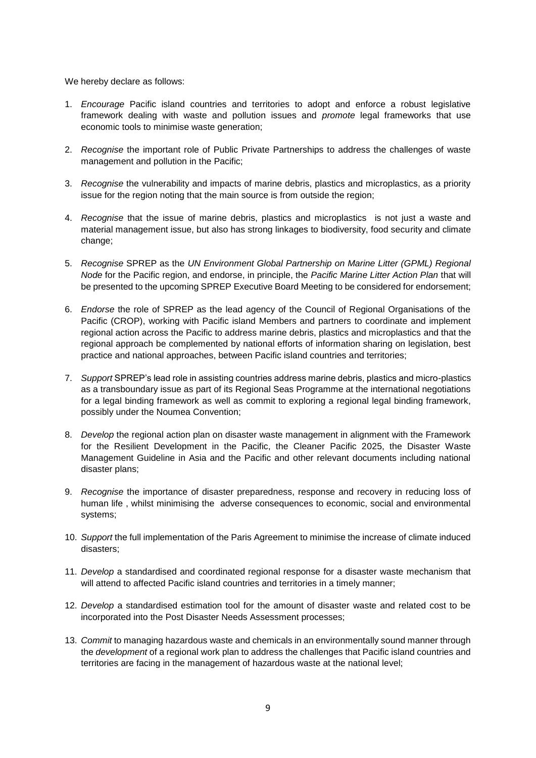We hereby declare as follows:

- 1. *Encourage* Pacific island countries and territories to adopt and enforce a robust legislative framework dealing with waste and pollution issues and *promote* legal frameworks that use economic tools to minimise waste generation;
- 2. *Recognise* the important role of Public Private Partnerships to address the challenges of waste management and pollution in the Pacific;
- 3. *Recognise* the vulnerability and impacts of marine debris, plastics and microplastics, as a priority issue for the region noting that the main source is from outside the region;
- 4. *Recognise* that the issue of marine debris, plastics and microplastics is not just a waste and material management issue, but also has strong linkages to biodiversity, food security and climate change;
- 5. *Recognise* SPREP as the *UN Environment Global Partnership on Marine Litter (GPML) Regional Node* for the Pacific region, and endorse, in principle, the *Pacific Marine Litter Action Plan* that will be presented to the upcoming SPREP Executive Board Meeting to be considered for endorsement;
- 6. *Endorse* the role of SPREP as the lead agency of the Council of Regional Organisations of the Pacific (CROP), working with Pacific island Members and partners to coordinate and implement regional action across the Pacific to address marine debris, plastics and microplastics and that the regional approach be complemented by national efforts of information sharing on legislation, best practice and national approaches, between Pacific island countries and territories;
- 7. *Support* SPREP's lead role in assisting countries address marine debris, plastics and micro-plastics as a transboundary issue as part of its Regional Seas Programme at the international negotiations for a legal binding framework as well as commit to exploring a regional legal binding framework, possibly under the Noumea Convention;
- 8. *Develop* the regional action plan on disaster waste management in alignment with the Framework for the Resilient Development in the Pacific, the Cleaner Pacific 2025, the Disaster Waste Management Guideline in Asia and the Pacific and other relevant documents including national disaster plans;
- 9. *Recognise* the importance of disaster preparedness, response and recovery in reducing loss of human life , whilst minimising the adverse consequences to economic, social and environmental systems;
- 10. *Support* the full implementation of the Paris Agreement to minimise the increase of climate induced disasters;
- 11. *Develop* a standardised and coordinated regional response for a disaster waste mechanism that will attend to affected Pacific island countries and territories in a timely manner;
- 12. *Develop* a standardised estimation tool for the amount of disaster waste and related cost to be incorporated into the Post Disaster Needs Assessment processes;
- 13. *Commit* to managing hazardous waste and chemicals in an environmentally sound manner through the *development* of a regional work plan to address the challenges that Pacific island countries and territories are facing in the management of hazardous waste at the national level;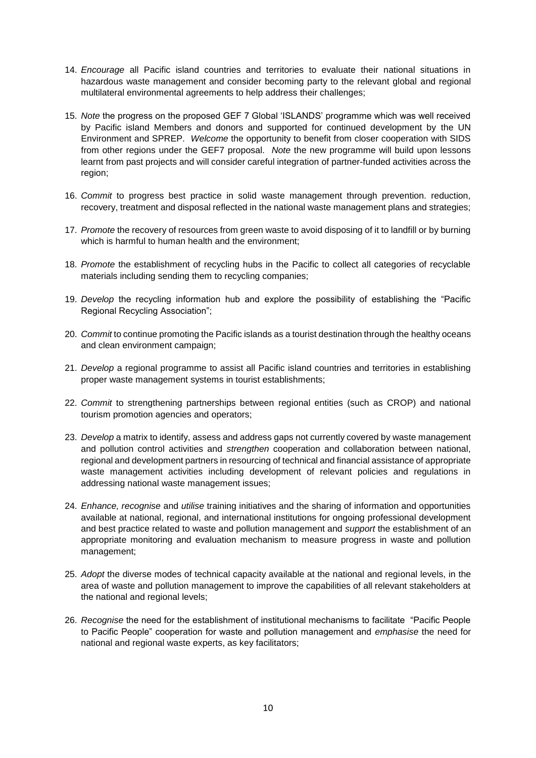- 14. *Encourage* all Pacific island countries and territories to evaluate their national situations in hazardous waste management and consider becoming party to the relevant global and regional multilateral environmental agreements to help address their challenges;
- 15. *Note* the progress on the proposed GEF 7 Global 'ISLANDS' programme which was well received by Pacific island Members and donors and supported for continued development by the UN Environment and SPREP. *Welcome* the opportunity to benefit from closer cooperation with SIDS from other regions under the GEF7 proposal. *Note* the new programme will build upon lessons learnt from past projects and will consider careful integration of partner-funded activities across the region;
- 16. *Commit* to progress best practice in solid waste management through prevention. reduction, recovery, treatment and disposal reflected in the national waste management plans and strategies;
- 17. *Promote* the recovery of resources from green waste to avoid disposing of it to landfill or by burning which is harmful to human health and the environment;
- 18. *Promote* the establishment of recycling hubs in the Pacific to collect all categories of recyclable materials including sending them to recycling companies;
- 19. *Develop* the recycling information hub and explore the possibility of establishing the "Pacific Regional Recycling Association";
- 20. *Commit* to continue promoting the Pacific islands as a tourist destination through the healthy oceans and clean environment campaign;
- 21. *Develop* a regional programme to assist all Pacific island countries and territories in establishing proper waste management systems in tourist establishments;
- 22. *Commit* to strengthening partnerships between regional entities (such as CROP) and national tourism promotion agencies and operators;
- 23. *Develop* a matrix to identify, assess and address gaps not currently covered by waste management and pollution control activities and *strengthen* cooperation and collaboration between national, regional and development partners in resourcing of technical and financial assistance of appropriate waste management activities including development of relevant policies and regulations in addressing national waste management issues;
- 24. *Enhance, recognise* and *utilise* training initiatives and the sharing of information and opportunities available at national, regional, and international institutions for ongoing professional development and best practice related to waste and pollution management and *support* the establishment of an appropriate monitoring and evaluation mechanism to measure progress in waste and pollution management;
- 25. *Adopt* the diverse modes of technical capacity available at the national and regional levels, in the area of waste and pollution management to improve the capabilities of all relevant stakeholders at the national and regional levels;
- 26. *Recognise* the need for the establishment of institutional mechanisms to facilitate "Pacific People to Pacific People" cooperation for waste and pollution management and *emphasise* the need for national and regional waste experts, as key facilitators;